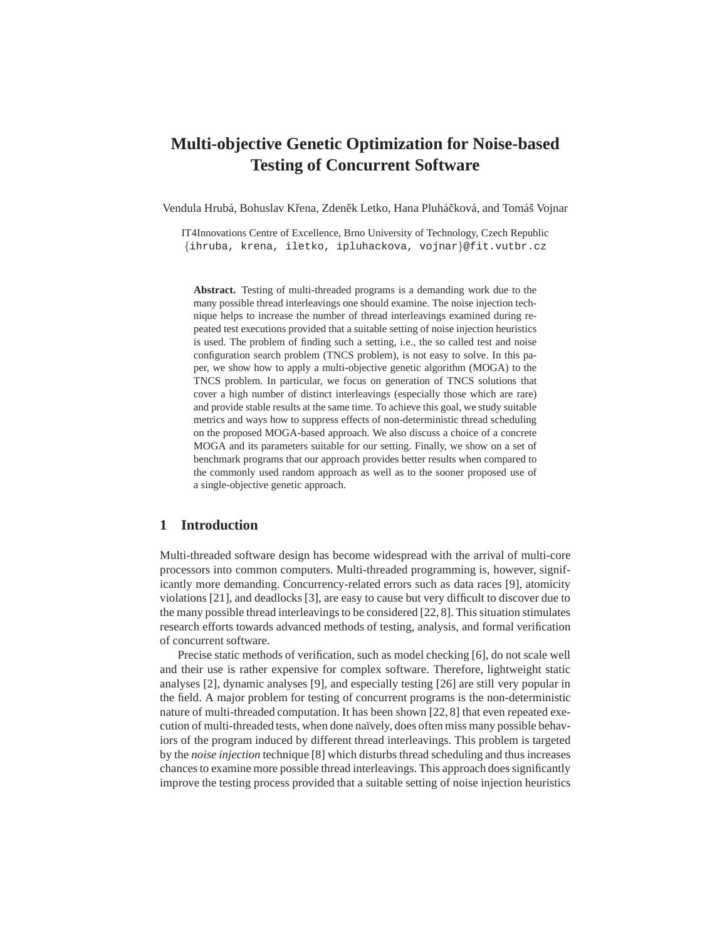# **Multi-objective Genetic Optimization for Noise-based Testing of Concurrent Software**

Vendula Hrubá, Bohuslav Křena, Zdeněk Letko, Hana Pluháčková, and Tomáš Vojnar

IT4Innovations Centre of Excellence, Brno University of Technology, Czech Republic {ihruba, krena, iletko, ipluhackova, vojnar}@fit.vutbr.cz

**Abstract.** Testing of multi-threaded programs is a demanding work due to the many possible thread interleavings one should examine. The noise injection technique helps to increase the number of thread interleavings examined during repeated test executions provided that a suitable setting of noise injection heuristics is used. The problem of finding such a setting, i.e., the so called test and noise configuration search problem (TNCS problem), is not easy to solve. In this paper, we show how to apply a multi-objective genetic algorithm (MOGA) to the TNCS problem. In particular, we focus on generation of TNCS solutions that cover a high number of distinct interleavings (especially those which are rare) and provide stable results at the same time. To achieve this goal, we study suitable metrics and ways how to suppress effects of non-deterministic thread scheduling on the proposed MOGA-based approach. We also discuss a choice of a concrete MOGA and its parameters suitable for our setting. Finally, we show on a set of benchmark programs that our approach provides better results when compared to the commonly used random approach as well as to the sooner proposed use of a single-objective genetic approach.

# **1 Introduction**

Multi-threaded software design has become widespread with the arrival of multi-core processors into common computers. Multi-threaded programming is, however, significantly more demanding. Concurrency-related errors such as data races [9], atomicity violations [21], and deadlocks [3], are easy to cause but very difficult to discover due to the many possible thread interleavings to be considered [22, 8]. This situation stimulates research efforts towards advanced methods of testing, analysis, and formal verification of concurrent software.

Precise static methods of verification, such as model checking [6], do not scale well and their use is rather expensive for complex software. Therefore, lightweight static analyses [2], dynamic analyses [9], and especially testing [26] are still very popular in the field. A major problem for testing of concurrent programs is the non-deterministic nature of multi-threaded computation. It has been shown [22, 8] that even repeated execution of multi-threaded tests, when done naïvely, does often miss many possible behaviors of the program induced by different thread interleavings. This problem is targeted by the *noise injection* technique [8] which disturbs thread scheduling and thus increases chances to examine more possible thread interleavings. This approach does significantly improve the testing process provided that a suitable setting of noise injection heuristics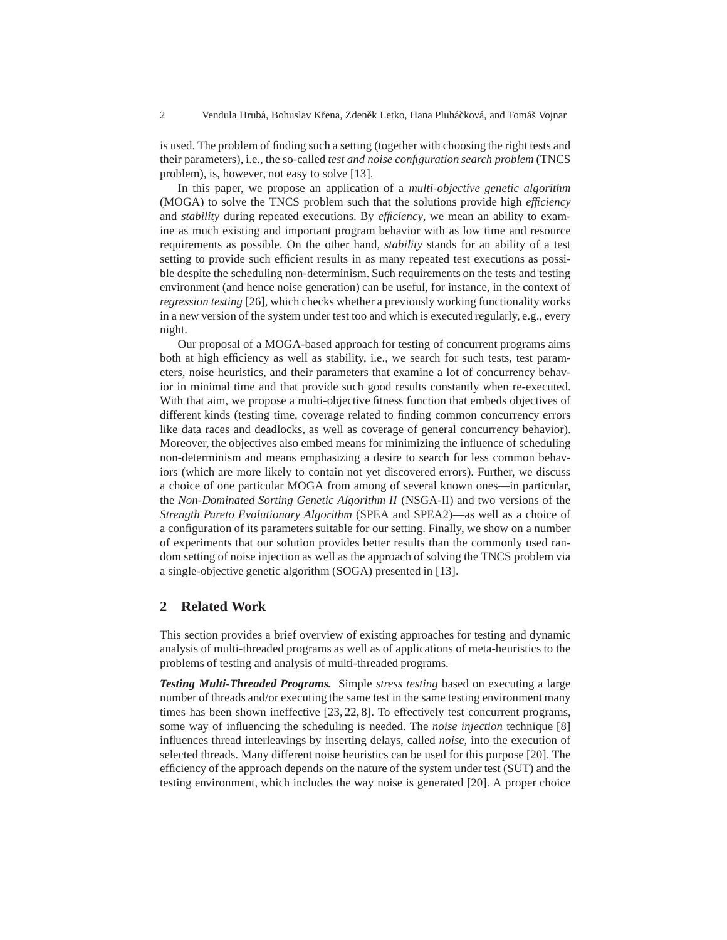is used. The problem of finding such a setting (together with choosing the right tests and their parameters), i.e., the so-called *test and noise configuration search problem* (TNCS problem), is, however, not easy to solve [13].

In this paper, we propose an application of a *multi-objective genetic algorithm* (MOGA) to solve the TNCS problem such that the solutions provide high *efficiency* and *stability* during repeated executions. By *efficiency*, we mean an ability to examine as much existing and important program behavior with as low time and resource requirements as possible. On the other hand, *stability* stands for an ability of a test setting to provide such efficient results in as many repeated test executions as possible despite the scheduling non-determinism. Such requirements on the tests and testing environment (and hence noise generation) can be useful, for instance, in the context of *regression testing* [26], which checks whether a previously working functionality works in a new version of the system under test too and which is executed regularly, e.g., every night.

Our proposal of a MOGA-based approach for testing of concurrent programs aims both at high efficiency as well as stability, i.e., we search for such tests, test parameters, noise heuristics, and their parameters that examine a lot of concurrency behavior in minimal time and that provide such good results constantly when re-executed. With that aim, we propose a multi-objective fitness function that embeds objectives of different kinds (testing time, coverage related to finding common concurrency errors like data races and deadlocks, as well as coverage of general concurrency behavior). Moreover, the objectives also embed means for minimizing the influence of scheduling non-determinism and means emphasizing a desire to search for less common behaviors (which are more likely to contain not yet discovered errors). Further, we discuss a choice of one particular MOGA from among of several known ones—in particular, the *Non-Dominated Sorting Genetic Algorithm II* (NSGA-II) and two versions of the *Strength Pareto Evolutionary Algorithm* (SPEA and SPEA2)—as well as a choice of a configuration of its parameters suitable for our setting. Finally, we show on a number of experiments that our solution provides better results than the commonly used random setting of noise injection as well as the approach of solving the TNCS problem via a single-objective genetic algorithm (SOGA) presented in [13].

## **2 Related Work**

This section provides a brief overview of existing approaches for testing and dynamic analysis of multi-threaded programs as well as of applications of meta-heuristics to the problems of testing and analysis of multi-threaded programs.

*Testing Multi-Threaded Programs.* Simple *stress testing* based on executing a large number of threads and/or executing the same test in the same testing environment many times has been shown ineffective [23, 22, 8]. To effectively test concurrent programs, some way of influencing the scheduling is needed. The *noise injection* technique [8] influences thread interleavings by inserting delays, called *noise*, into the execution of selected threads. Many different noise heuristics can be used for this purpose [20]. The efficiency of the approach depends on the nature of the system under test (SUT) and the testing environment, which includes the way noise is generated [20]. A proper choice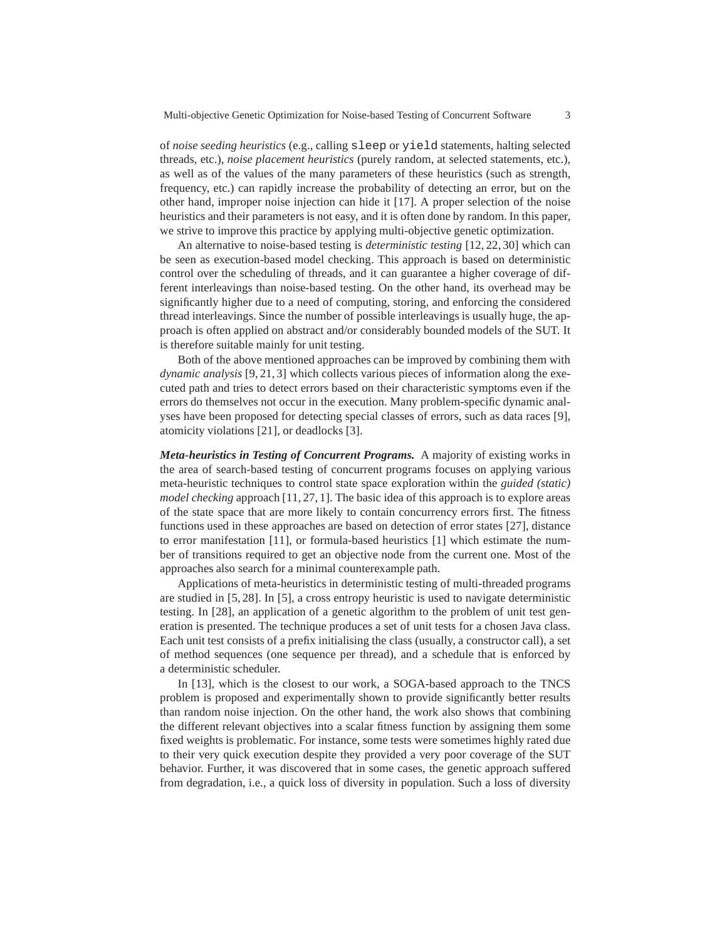of *noise seeding heuristics* (e.g., calling sleep or yield statements, halting selected threads, etc.), *noise placement heuristics* (purely random, at selected statements, etc.), as well as of the values of the many parameters of these heuristics (such as strength, frequency, etc.) can rapidly increase the probability of detecting an error, but on the other hand, improper noise injection can hide it [17]. A proper selection of the noise heuristics and their parameters is not easy, and it is often done by random. In this paper, we strive to improve this practice by applying multi-objective genetic optimization.

An alternative to noise-based testing is *deterministic testing* [12, 22, 30] which can be seen as execution-based model checking. This approach is based on deterministic control over the scheduling of threads, and it can guarantee a higher coverage of different interleavings than noise-based testing. On the other hand, its overhead may be significantly higher due to a need of computing, storing, and enforcing the considered thread interleavings. Since the number of possible interleavings is usually huge, the approach is often applied on abstract and/or considerably bounded models of the SUT. It is therefore suitable mainly for unit testing.

Both of the above mentioned approaches can be improved by combining them with *dynamic analysis* [9, 21, 3] which collects various pieces of information along the executed path and tries to detect errors based on their characteristic symptoms even if the errors do themselves not occur in the execution. Many problem-specific dynamic analyses have been proposed for detecting special classes of errors, such as data races [9], atomicity violations [21], or deadlocks [3].

*Meta-heuristics in Testing of Concurrent Programs.* A majority of existing works in the area of search-based testing of concurrent programs focuses on applying various meta-heuristic techniques to control state space exploration within the *guided (static) model checking* approach [11, 27, 1]. The basic idea of this approach is to explore areas of the state space that are more likely to contain concurrency errors first. The fitness functions used in these approaches are based on detection of error states [27], distance to error manifestation [11], or formula-based heuristics [1] which estimate the number of transitions required to get an objective node from the current one. Most of the approaches also search for a minimal counterexample path.

Applications of meta-heuristics in deterministic testing of multi-threaded programs are studied in [5, 28]. In [5], a cross entropy heuristic is used to navigate deterministic testing. In [28], an application of a genetic algorithm to the problem of unit test generation is presented. The technique produces a set of unit tests for a chosen Java class. Each unit test consists of a prefix initialising the class (usually, a constructor call), a set of method sequences (one sequence per thread), and a schedule that is enforced by a deterministic scheduler.

In [13], which is the closest to our work, a SOGA-based approach to the TNCS problem is proposed and experimentally shown to provide significantly better results than random noise injection. On the other hand, the work also shows that combining the different relevant objectives into a scalar fitness function by assigning them some fixed weights is problematic. For instance, some tests were sometimes highly rated due to their very quick execution despite they provided a very poor coverage of the SUT behavior. Further, it was discovered that in some cases, the genetic approach suffered from degradation, i.e., a quick loss of diversity in population. Such a loss of diversity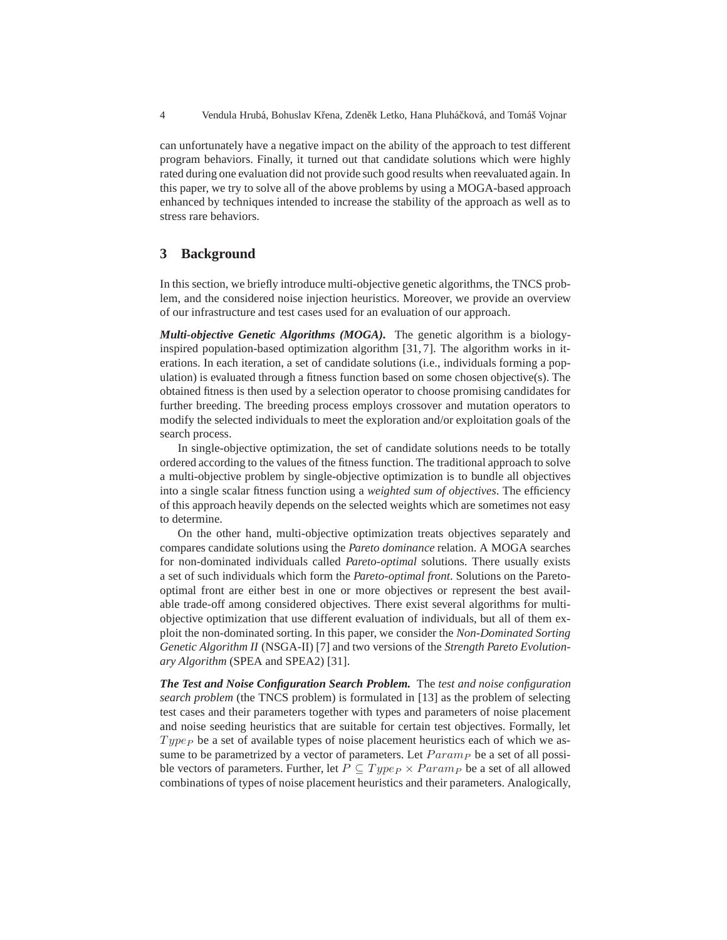can unfortunately have a negative impact on the ability of the approach to test different program behaviors. Finally, it turned out that candidate solutions which were highly rated during one evaluation did not provide such good results when reevaluated again. In this paper, we try to solve all of the above problems by using a MOGA-based approach enhanced by techniques intended to increase the stability of the approach as well as to stress rare behaviors.

# **3 Background**

In this section, we briefly introduce multi-objective genetic algorithms, the TNCS problem, and the considered noise injection heuristics. Moreover, we provide an overview of our infrastructure and test cases used for an evaluation of our approach.

*Multi-objective Genetic Algorithms (MOGA).* The genetic algorithm is a biologyinspired population-based optimization algorithm [31, 7]. The algorithm works in iterations. In each iteration, a set of candidate solutions (i.e., individuals forming a population) is evaluated through a fitness function based on some chosen objective(s). The obtained fitness is then used by a selection operator to choose promising candidates for further breeding. The breeding process employs crossover and mutation operators to modify the selected individuals to meet the exploration and/or exploitation goals of the search process.

In single-objective optimization, the set of candidate solutions needs to be totally ordered according to the values of the fitness function. The traditional approach to solve a multi-objective problem by single-objective optimization is to bundle all objectives into a single scalar fitness function using a *weighted sum of objectives*. The efficiency of this approach heavily depends on the selected weights which are sometimes not easy to determine.

On the other hand, multi-objective optimization treats objectives separately and compares candidate solutions using the *Pareto dominance* relation. A MOGA searches for non-dominated individuals called *Pareto-optimal* solutions. There usually exists a set of such individuals which form the *Pareto-optimal front*. Solutions on the Paretooptimal front are either best in one or more objectives or represent the best available trade-off among considered objectives. There exist several algorithms for multiobjective optimization that use different evaluation of individuals, but all of them exploit the non-dominated sorting. In this paper, we consider the *Non-Dominated Sorting Genetic Algorithm II* (NSGA-II) [7] and two versions of the *Strength Pareto Evolutionary Algorithm* (SPEA and SPEA2) [31].

*The Test and Noise Configuration Search Problem.* The *test and noise configuration search problem* (the TNCS problem) is formulated in [13] as the problem of selecting test cases and their parameters together with types and parameters of noise placement and noise seeding heuristics that are suitable for certain test objectives. Formally, let  $Type<sub>P</sub>$  be a set of available types of noise placement heuristics each of which we assume to be parametrized by a vector of parameters. Let  $Param_P$  be a set of all possible vectors of parameters. Further, let  $P \subseteq Type_P \times Param_P$  be a set of all allowed combinations of types of noise placement heuristics and their parameters. Analogically,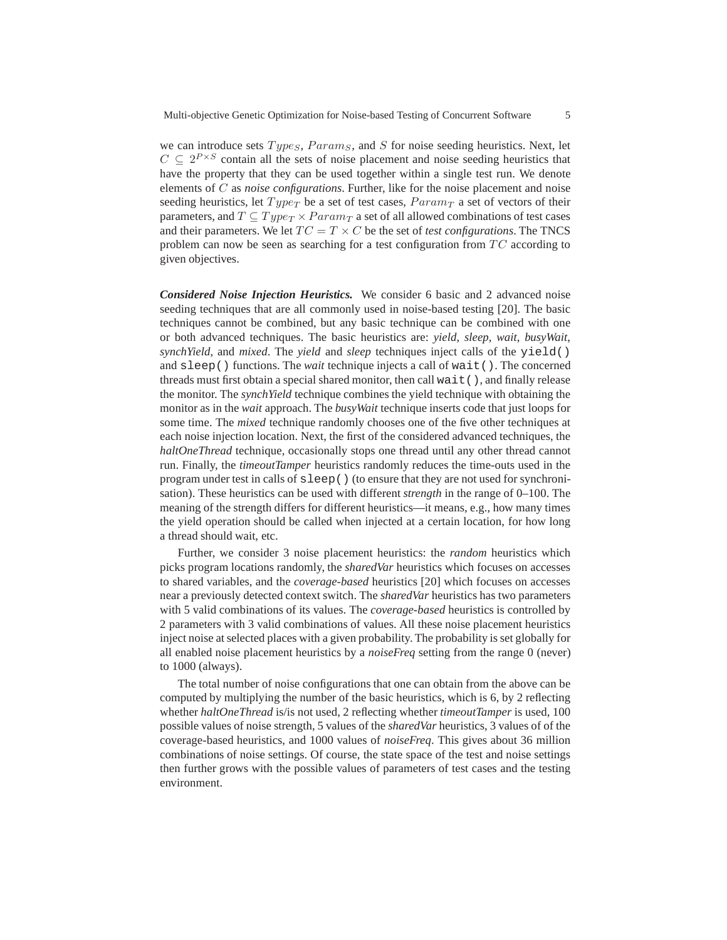we can introduce sets  $Types, Param_S,$  and S for noise seeding heuristics. Next, let  $C \subseteq 2^{P \times S}$  contain all the sets of noise placement and noise seeding heuristics that have the property that they can be used together within a single test run. We denote elements of C as *noise configurations*. Further, like for the noise placement and noise seeding heuristics, let  $Type_T$  be a set of test cases,  $Param_T$  a set of vectors of their parameters, and  $T \subseteq Type_T \times Param_T$  a set of all allowed combinations of test cases and their parameters. We let  $TC = T \times C$  be the set of *test configurations*. The TNCS problem can now be seen as searching for a test configuration from  $TC$  according to given objectives.

*Considered Noise Injection Heuristics.* We consider 6 basic and 2 advanced noise seeding techniques that are all commonly used in noise-based testing [20]. The basic techniques cannot be combined, but any basic technique can be combined with one or both advanced techniques. The basic heuristics are: *yield*, *sleep*, *wait*, *busyWait*, *synchYield*, and *mixed*. The *yield* and *sleep* techniques inject calls of the yield() and sleep() functions. The *wait* technique injects a call of wait(). The concerned threads must first obtain a special shared monitor, then call  $wait()$ , and finally release the monitor. The *synchYield* technique combines the yield technique with obtaining the monitor as in the *wait* approach. The *busyWait* technique inserts code that just loops for some time. The *mixed* technique randomly chooses one of the five other techniques at each noise injection location. Next, the first of the considered advanced techniques, the *haltOneThread* technique, occasionally stops one thread until any other thread cannot run. Finally, the *timeoutTamper* heuristics randomly reduces the time-outs used in the program under test in calls of sleep() (to ensure that they are not used for synchronisation). These heuristics can be used with different *strength* in the range of 0–100. The meaning of the strength differs for different heuristics—it means, e.g., how many times the yield operation should be called when injected at a certain location, for how long a thread should wait, etc.

Further, we consider 3 noise placement heuristics: the *random* heuristics which picks program locations randomly, the *sharedVar* heuristics which focuses on accesses to shared variables, and the *coverage-based* heuristics [20] which focuses on accesses near a previously detected context switch. The *sharedVar* heuristics has two parameters with 5 valid combinations of its values. The *coverage-based* heuristics is controlled by 2 parameters with 3 valid combinations of values. All these noise placement heuristics inject noise at selected places with a given probability. The probability is set globally for all enabled noise placement heuristics by a *noiseFreq* setting from the range 0 (never) to 1000 (always).

The total number of noise configurations that one can obtain from the above can be computed by multiplying the number of the basic heuristics, which is 6, by 2 reflecting whether *haltOneThread* is/is not used, 2 reflecting whether *timeoutTamper* is used, 100 possible values of noise strength, 5 values of the *sharedVar* heuristics, 3 values of of the coverage-based heuristics, and 1000 values of *noiseFreq*. This gives about 36 million combinations of noise settings. Of course, the state space of the test and noise settings then further grows with the possible values of parameters of test cases and the testing environment.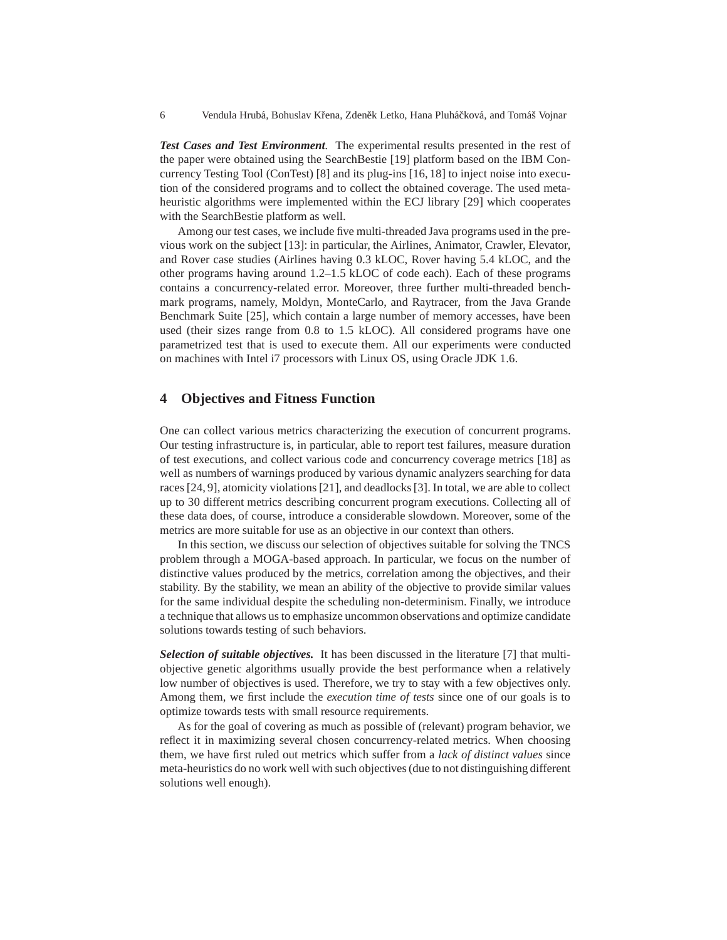*Test Cases and Test Environment.* The experimental results presented in the rest of the paper were obtained using the SearchBestie [19] platform based on the IBM Concurrency Testing Tool (ConTest) [8] and its plug-ins [16, 18] to inject noise into execution of the considered programs and to collect the obtained coverage. The used metaheuristic algorithms were implemented within the ECJ library [29] which cooperates with the SearchBestie platform as well.

Among our test cases, we include five multi-threaded Java programs used in the previous work on the subject [13]: in particular, the Airlines, Animator, Crawler, Elevator, and Rover case studies (Airlines having 0.3 kLOC, Rover having 5.4 kLOC, and the other programs having around 1.2–1.5 kLOC of code each). Each of these programs contains a concurrency-related error. Moreover, three further multi-threaded benchmark programs, namely, Moldyn, MonteCarlo, and Raytracer, from the Java Grande Benchmark Suite [25], which contain a large number of memory accesses, have been used (their sizes range from 0.8 to 1.5 kLOC). All considered programs have one parametrized test that is used to execute them. All our experiments were conducted on machines with Intel i7 processors with Linux OS, using Oracle JDK 1.6.

### **4 Objectives and Fitness Function**

One can collect various metrics characterizing the execution of concurrent programs. Our testing infrastructure is, in particular, able to report test failures, measure duration of test executions, and collect various code and concurrency coverage metrics [18] as well as numbers of warnings produced by various dynamic analyzers searching for data races [24, 9], atomicity violations [21], and deadlocks [3]. In total, we are able to collect up to 30 different metrics describing concurrent program executions. Collecting all of these data does, of course, introduce a considerable slowdown. Moreover, some of the metrics are more suitable for use as an objective in our context than others.

In this section, we discuss our selection of objectives suitable for solving the TNCS problem through a MOGA-based approach. In particular, we focus on the number of distinctive values produced by the metrics, correlation among the objectives, and their stability. By the stability, we mean an ability of the objective to provide similar values for the same individual despite the scheduling non-determinism. Finally, we introduce a technique that allows us to emphasize uncommon observations and optimize candidate solutions towards testing of such behaviors.

*Selection of suitable objectives.* It has been discussed in the literature [7] that multiobjective genetic algorithms usually provide the best performance when a relatively low number of objectives is used. Therefore, we try to stay with a few objectives only. Among them, we first include the *execution time of tests* since one of our goals is to optimize towards tests with small resource requirements.

As for the goal of covering as much as possible of (relevant) program behavior, we reflect it in maximizing several chosen concurrency-related metrics. When choosing them, we have first ruled out metrics which suffer from a *lack of distinct values* since meta-heuristics do no work well with such objectives (due to not distinguishing different solutions well enough).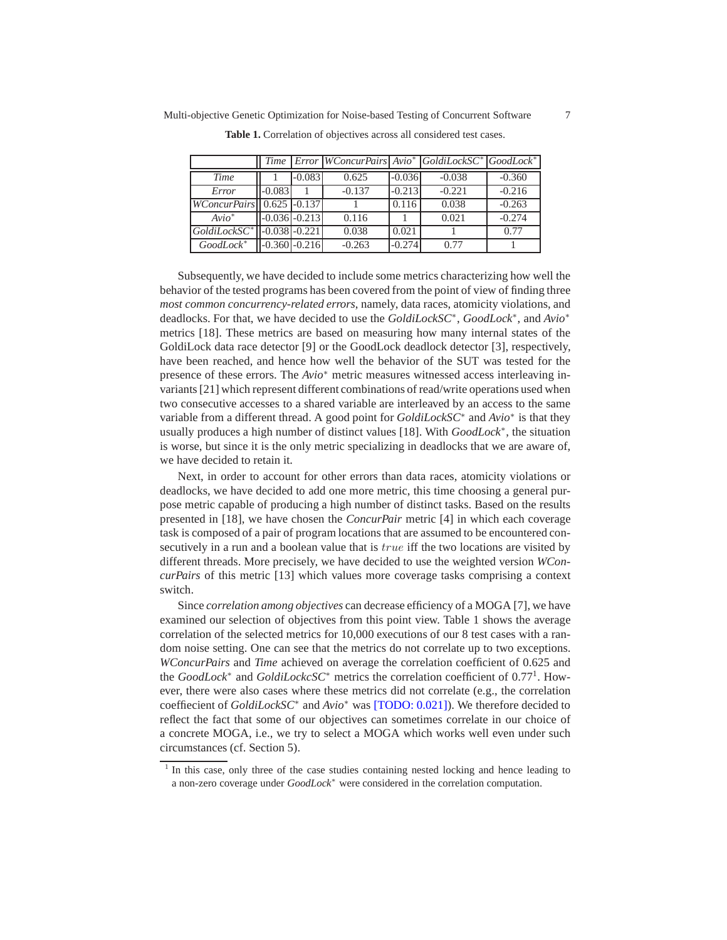|                               | Time              |          | Error WConcurPairs Avio* GoldiLockSC* GoodLock* |          |          |          |
|-------------------------------|-------------------|----------|-------------------------------------------------|----------|----------|----------|
| Time                          |                   | $-0.083$ | 0.625                                           | $-0.036$ | $-0.038$ | $-0.360$ |
| Error                         | $-0.083$          |          | $-0.137$                                        | $-0.213$ | $-0.221$ | $-0.216$ |
| $WConcurPairs$ 0.625 -0.137   |                   |          |                                                 | 0.116    | 0.038    | $-0.263$ |
| $Avio^*$                      | $-0.036 - 0.213$  |          | 0.116                                           |          | 0.021    | $-0.274$ |
| $GoldilockSC^*$ -0.038 -0.221 |                   |          | 0.038                                           | 0.021    |          | 0.77     |
| $GoodLock^*$                  | $-0.360$ $-0.216$ |          | $-0.263$                                        | $-0.274$ | 0.77     |          |

**Table 1.** Correlation of objectives across all considered test cases.

Subsequently, we have decided to include some metrics characterizing how well the behavior of the tested programs has been covered from the point of view of finding three *most common concurrency-related errors*, namely, data races, atomicity violations, and deadlocks. For that, we have decided to use the *GoldiLockSC*<sup>∗</sup> , *GoodLock*<sup>∗</sup> , and *Avio*<sup>∗</sup> metrics [18]. These metrics are based on measuring how many internal states of the GoldiLock data race detector [9] or the GoodLock deadlock detector [3], respectively, have been reached, and hence how well the behavior of the SUT was tested for the presence of these errors. The *Avio*<sup>∗</sup> metric measures witnessed access interleaving invariants [21] which represent different combinations of read/write operations used when two consecutive accesses to a shared variable are interleaved by an access to the same variable from a different thread. A good point for *GoldiLockSC*<sup>∗</sup> and *Avio*<sup>∗</sup> is that they usually produces a high number of distinct values [18]. With *GoodLock*<sup>∗</sup> , the situation is worse, but since it is the only metric specializing in deadlocks that we are aware of, we have decided to retain it.

Next, in order to account for other errors than data races, atomicity violations or deadlocks, we have decided to add one more metric, this time choosing a general purpose metric capable of producing a high number of distinct tasks. Based on the results presented in [18], we have chosen the *ConcurPair* metric [4] in which each coverage task is composed of a pair of program locations that are assumed to be encountered consecutively in a run and a boolean value that is  $true$  iff the two locations are visited by different threads. More precisely, we have decided to use the weighted version *WConcurPairs* of this metric [13] which values more coverage tasks comprising a context switch.

Since *correlation among objectives* can decrease efficiency of a MOGA [7], we have examined our selection of objectives from this point view. Table 1 shows the average correlation of the selected metrics for 10,000 executions of our 8 test cases with a random noise setting. One can see that the metrics do not correlate up to two exceptions. *WConcurPairs* and *Time* achieved on average the correlation coefficient of 0.625 and the *GoodLock*<sup>∗</sup> and *GoldiLockcSC*<sup>∗</sup> metrics the correlation coefficient of 0.77<sup>1</sup>. However, there were also cases where these metrics did not correlate (e.g., the correlation coeffiecient of *GoldiLockSC*<sup>∗</sup> and *Avio*<sup>∗</sup> was [TODO: 0.021]). We therefore decided to reflect the fact that some of our objectives can sometimes correlate in our choice of a concrete MOGA, i.e., we try to select a MOGA which works well even under such circumstances (cf. Section 5).

 $<sup>1</sup>$  In this case, only three of the case studies containing nested locking and hence leading to</sup> a non-zero coverage under *GoodLock*<sup>∗</sup> were considered in the correlation computation.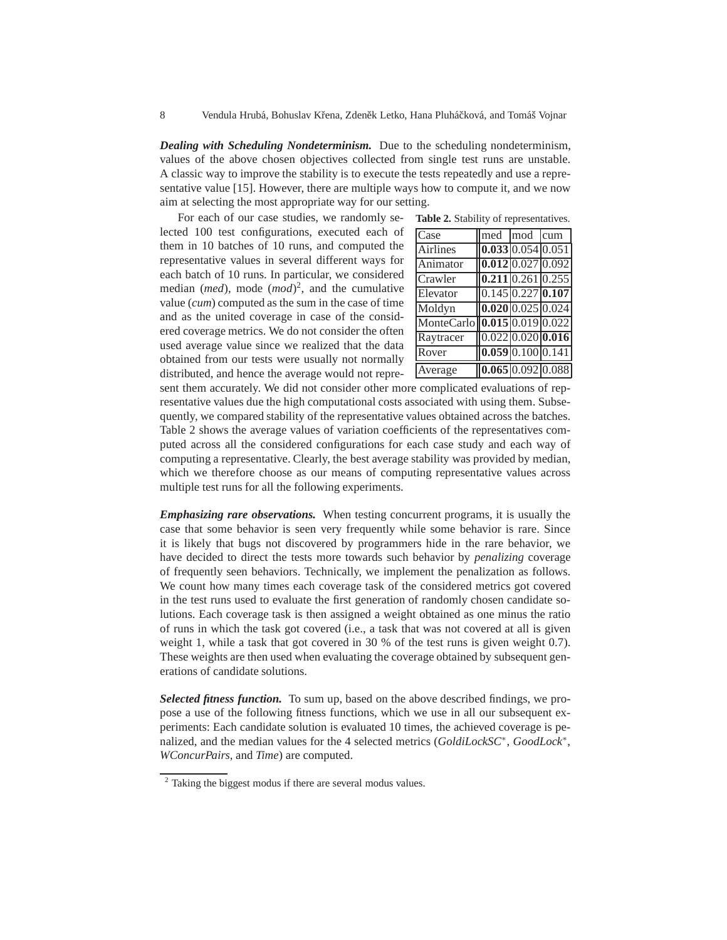*Dealing with Scheduling Nondeterminism.* Due to the scheduling nondeterminism, values of the above chosen objectives collected from single test runs are unstable. A classic way to improve the stability is to execute the tests repeatedly and use a representative value [15]. However, there are multiple ways how to compute it, and we now aim at selecting the most appropriate way for our setting.

For each of our case studies, we randomly selected 100 test configurations, executed each of them in 10 batches of 10 runs, and computed the representative values in several different ways for each batch of 10 runs. In particular, we considered median (*med*), mode (*mod*) 2 , and the cumulative value (*cum*) computed as the sum in the case of time and as the united coverage in case of the considered coverage metrics. We do not consider the often used average value since we realized that the data obtained from our tests were usually not normally distributed, and hence the average would not repre-

| <b>Table 2.</b> Stability of representatives. |                                                   |                     |            |  |
|-----------------------------------------------|---------------------------------------------------|---------------------|------------|--|
| Case                                          | med                                               | mod                 | <b>cum</b> |  |
| <b>Airlines</b>                               | $\left  0.033 \right  0.054 \left  0.051 \right $ |                     |            |  |
| Animator                                      | $\overline{0.012}$ 0.027 0.092                    |                     |            |  |
| Crawler                                       | $0.211$ 0.261 0.255                               |                     |            |  |
| Elevator                                      | $0.145$ 0.227 0.107                               |                     |            |  |
| Moldyn                                        | 0.020 0.025 0.024                                 |                     |            |  |
| MonteCarlo                                    |                                                   | $0.015$ 0.019 0.022 |            |  |
| Raytracer                                     |                                                   | $0.022$ 0.020 0.016 |            |  |
| Rover                                         | $\left  0.059 \right  0.100 \left  0.141 \right $ |                     |            |  |
| Average                                       | $0.065 \, 0.092 \, 0.088$                         |                     |            |  |

sent them accurately. We did not consider other more complicated evaluations of representative values due the high computational costs associated with using them. Subsequently, we compared stability of the representative values obtained across the batches. Table 2 shows the average values of variation coefficients of the representatives computed across all the considered configurations for each case study and each way of computing a representative. Clearly, the best average stability was provided by median, which we therefore choose as our means of computing representative values across multiple test runs for all the following experiments.

*Emphasizing rare observations.* When testing concurrent programs, it is usually the case that some behavior is seen very frequently while some behavior is rare. Since it is likely that bugs not discovered by programmers hide in the rare behavior, we have decided to direct the tests more towards such behavior by *penalizing* coverage of frequently seen behaviors. Technically, we implement the penalization as follows. We count how many times each coverage task of the considered metrics got covered in the test runs used to evaluate the first generation of randomly chosen candidate solutions. Each coverage task is then assigned a weight obtained as one minus the ratio of runs in which the task got covered (i.e., a task that was not covered at all is given weight 1, while a task that got covered in 30 % of the test runs is given weight 0.7). These weights are then used when evaluating the coverage obtained by subsequent generations of candidate solutions.

*Selected fitness function.* To sum up, based on the above described findings, we propose a use of the following fitness functions, which we use in all our subsequent experiments: Each candidate solution is evaluated 10 times, the achieved coverage is penalized, and the median values for the 4 selected metrics (*GoldiLockSC*<sup>∗</sup> , *GoodLock*<sup>∗</sup> , *WConcurPairs*, and *Time*) are computed.

<sup>&</sup>lt;sup>2</sup> Taking the biggest modus if there are several modus values.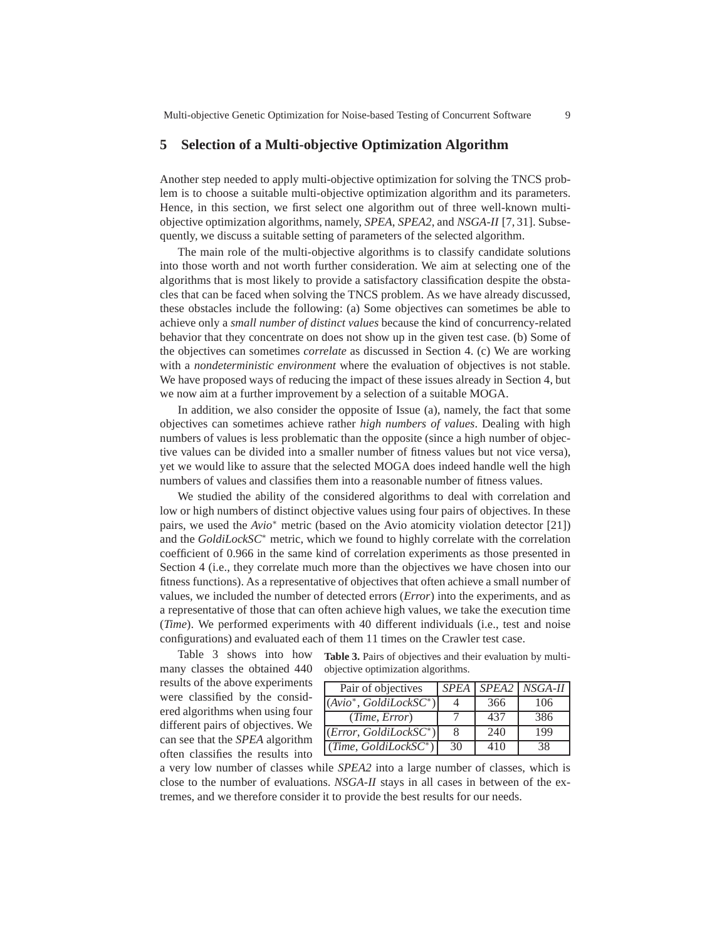#### **5 Selection of a Multi-objective Optimization Algorithm**

Another step needed to apply multi-objective optimization for solving the TNCS problem is to choose a suitable multi-objective optimization algorithm and its parameters. Hence, in this section, we first select one algorithm out of three well-known multiobjective optimization algorithms, namely, *SPEA*, *SPEA2*, and *NSGA-II* [7, 31]. Subsequently, we discuss a suitable setting of parameters of the selected algorithm.

The main role of the multi-objective algorithms is to classify candidate solutions into those worth and not worth further consideration. We aim at selecting one of the algorithms that is most likely to provide a satisfactory classification despite the obstacles that can be faced when solving the TNCS problem. As we have already discussed, these obstacles include the following: (a) Some objectives can sometimes be able to achieve only a *small number of distinct values* because the kind of concurrency-related behavior that they concentrate on does not show up in the given test case. (b) Some of the objectives can sometimes *correlate* as discussed in Section 4. (c) We are working with a *nondeterministic environment* where the evaluation of objectives is not stable. We have proposed ways of reducing the impact of these issues already in Section 4, but we now aim at a further improvement by a selection of a suitable MOGA.

In addition, we also consider the opposite of Issue (a), namely, the fact that some objectives can sometimes achieve rather *high numbers of values*. Dealing with high numbers of values is less problematic than the opposite (since a high number of objective values can be divided into a smaller number of fitness values but not vice versa), yet we would like to assure that the selected MOGA does indeed handle well the high numbers of values and classifies them into a reasonable number of fitness values.

We studied the ability of the considered algorithms to deal with correlation and low or high numbers of distinct objective values using four pairs of objectives. In these pairs, we used the *Avio*<sup>∗</sup> metric (based on the Avio atomicity violation detector [21]) and the *GoldiLockSC*<sup>∗</sup> metric, which we found to highly correlate with the correlation coefficient of 0.966 in the same kind of correlation experiments as those presented in Section 4 (i.e., they correlate much more than the objectives we have chosen into our fitness functions). As a representative of objectives that often achieve a small number of values, we included the number of detected errors (*Error*) into the experiments, and as a representative of those that can often achieve high values, we take the execution time (*Time*). We performed experiments with 40 different individuals (i.e., test and noise configurations) and evaluated each of them 11 times on the Crawler test case.

Table 3 shows into how many classes the obtained 440 results of the above experiments were classified by the considered algorithms when using four different pairs of objectives. We can see that the *SPEA* algorithm often classifies the results into

**Table 3.** Pairs of objectives and their evaluation by multiobjective optimization algorithms.

| Pair of objectives                    | <b>SPEA</b> | SPEA <sub>2</sub> | $NSGA$ - $II$ |
|---------------------------------------|-------------|-------------------|---------------|
| $(Avio^*, GoldiLockSC^*)$             |             | 366               | 106           |
| (Time, Error)                         |             | 437               | 386           |
| $\vert (Error, GoldilLockSC^*) \vert$ | 8           | 240               | 199           |
| $(Time, GoldiLockSC^*)$               | 30          | 410               | 38            |

a very low number of classes while *SPEA2* into a large number of classes, which is close to the number of evaluations. *NSGA-II* stays in all cases in between of the extremes, and we therefore consider it to provide the best results for our needs.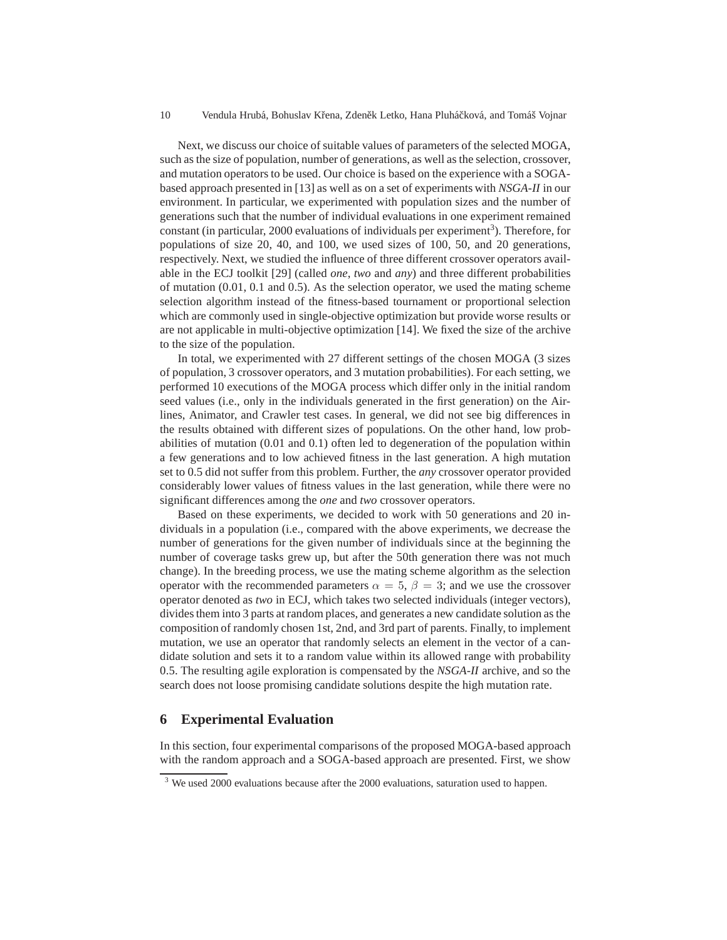Next, we discuss our choice of suitable values of parameters of the selected MOGA, such as the size of population, number of generations, as well as the selection, crossover, and mutation operators to be used. Our choice is based on the experience with a SOGAbased approach presented in [13] as well as on a set of experiments with *NSGA-II* in our environment. In particular, we experimented with population sizes and the number of generations such that the number of individual evaluations in one experiment remained constant (in particular, 2000 evaluations of individuals per experiment<sup>3</sup>). Therefore, for populations of size 20, 40, and 100, we used sizes of 100, 50, and 20 generations, respectively. Next, we studied the influence of three different crossover operators available in the ECJ toolkit [29] (called *one*, *two* and *any*) and three different probabilities of mutation (0.01, 0.1 and 0.5). As the selection operator, we used the mating scheme selection algorithm instead of the fitness-based tournament or proportional selection which are commonly used in single-objective optimization but provide worse results or are not applicable in multi-objective optimization [14]. We fixed the size of the archive to the size of the population.

In total, we experimented with 27 different settings of the chosen MOGA (3 sizes of population, 3 crossover operators, and 3 mutation probabilities). For each setting, we performed 10 executions of the MOGA process which differ only in the initial random seed values (i.e., only in the individuals generated in the first generation) on the Airlines, Animator, and Crawler test cases. In general, we did not see big differences in the results obtained with different sizes of populations. On the other hand, low probabilities of mutation (0.01 and 0.1) often led to degeneration of the population within a few generations and to low achieved fitness in the last generation. A high mutation set to 0.5 did not suffer from this problem. Further, the *any* crossover operator provided considerably lower values of fitness values in the last generation, while there were no significant differences among the *one* and *two* crossover operators.

Based on these experiments, we decided to work with 50 generations and 20 individuals in a population (i.e., compared with the above experiments, we decrease the number of generations for the given number of individuals since at the beginning the number of coverage tasks grew up, but after the 50th generation there was not much change). In the breeding process, we use the mating scheme algorithm as the selection operator with the recommended parameters  $\alpha = 5$ ,  $\beta = 3$ ; and we use the crossover operator denoted as *two* in ECJ, which takes two selected individuals (integer vectors), divides them into 3 parts at random places, and generates a new candidate solution as the composition of randomly chosen 1st, 2nd, and 3rd part of parents. Finally, to implement mutation, we use an operator that randomly selects an element in the vector of a candidate solution and sets it to a random value within its allowed range with probability 0.5. The resulting agile exploration is compensated by the *NSGA-II* archive, and so the search does not loose promising candidate solutions despite the high mutation rate.

## **6 Experimental Evaluation**

In this section, four experimental comparisons of the proposed MOGA-based approach with the random approach and a SOGA-based approach are presented. First, we show

<sup>&</sup>lt;sup>3</sup> We used 2000 evaluations because after the 2000 evaluations, saturation used to happen.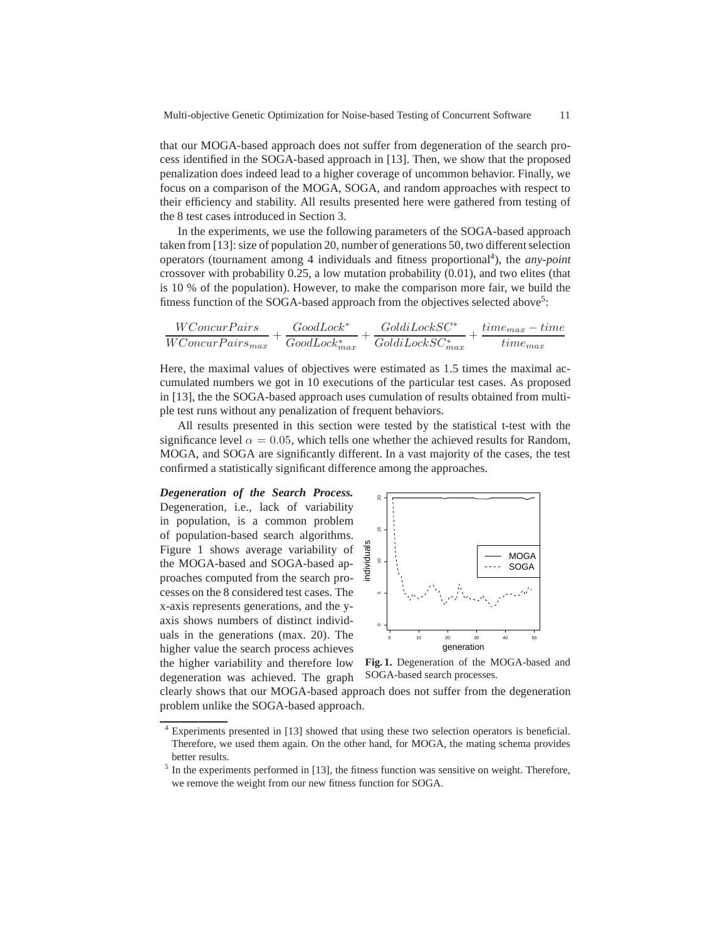that our MOGA-based approach does not suffer from degeneration of the search process identified in the SOGA-based approach in [13]. Then, we show that the proposed penalization does indeed lead to a higher coverage of uncommon behavior. Finally, we focus on a comparison of the MOGA, SOGA, and random approaches with respect to their efficiency and stability. All results presented here were gathered from testing of the 8 test cases introduced in Section 3.

In the experiments, we use the following parameters of the SOGA-based approach taken from [13]: size of population 20, number of generations 50, two different selection operators (tournament among 4 individuals and fitness proportional<sup>4</sup>), the *any-point* crossover with probability 0.25, a low mutation probability (0.01), and two elites (that is 10 % of the population). However, to make the comparison more fair, we build the fitness function of the SOGA-based approach from the objectives selected above<sup>5</sup>:

$$
\frac{WConcurPairs}{WConcurPairs_{max}} + \frac{GoodLock^*}{GoodLock^*_{max}} + \frac{GoldiLockSC^*}{GoldiLockSC^*_{max}} + \frac{time_{max} - time}{time_{max}}
$$

Here, the maximal values of objectives were estimated as 1.5 times the maximal accumulated numbers we got in 10 executions of the particular test cases. As proposed in [13], the the SOGA-based approach uses cumulation of results obtained from multiple test runs without any penalization of frequent behaviors.

All results presented in this section were tested by the statistical t-test with the significance level  $\alpha = 0.05$ , which tells one whether the achieved results for Random, MOGA, and SOGA are significantly different. In a vast majority of the cases, the test confirmed a statistically significant difference among the approaches.

*Degeneration of the Search Process.* Degeneration, i.e., lack of variability in population, is a common problem of population-based search algorithms. Figure 1 shows average variability of the MOGA-based and SOGA-based approaches computed from the search processes on the 8 considered test cases. The x-axis represents generations, and the yaxis shows numbers of distinct individuals in the generations (max. 20). The higher value the search process achieves the higher variability and therefore low degeneration was achieved. The graph



**Fig. 1.** Degeneration of the MOGA-based and SOGA-based search processes.

clearly shows that our MOGA-based approach does not suffer from the degeneration problem unlike the SOGA-based approach.

<sup>4</sup> Experiments presented in [13] showed that using these two selection operators is beneficial. Therefore, we used them again. On the other hand, for MOGA, the mating schema provides better results.

 $<sup>5</sup>$  In the experiments performed in [13], the fitness function was sensitive on weight. Therefore,</sup> we remove the weight from our new fitness function for SOGA.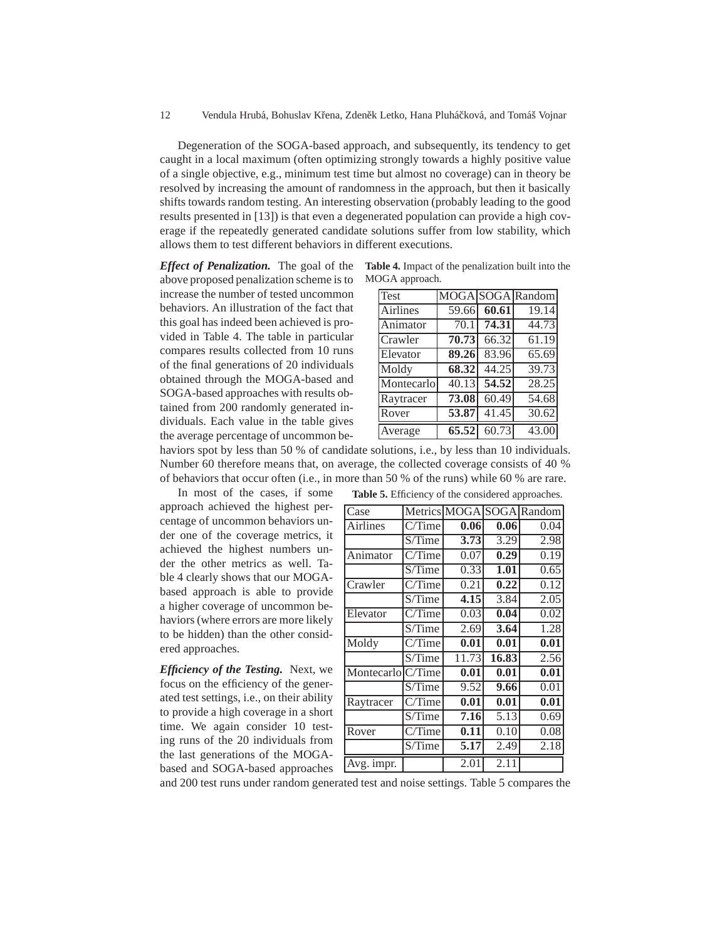Degeneration of the SOGA-based approach, and subsequently, its tendency to get caught in a local maximum (often optimizing strongly towards a highly positive value of a single objective, e.g., minimum test time but almost no coverage) can in theory be resolved by increasing the amount of randomness in the approach, but then it basically shifts towards random testing. An interesting observation (probably leading to the good results presented in [13]) is that even a degenerated population can provide a high coverage if the repeatedly generated candidate solutions suffer from low stability, which allows them to test different behaviors in different executions.

above proposed penalization scheme is to increase the number of tested uncommon behaviors. An illustration of the fact that this goal has indeed been achieved is provided in Table 4. The table in particular compares results collected from 10 runs of the final generations of 20 individuals obtained through the MOGA-based and SOGA-based approaches with results obtained from 200 randomly generated individuals. Each value in the table gives the average percentage of uncommon be-

**Effect of Penalization.** The goal of the Table 4. Impact of the penalization built into the MOGA approach.

| <b>Test</b>     |                    |       | <b>MOGA SOGA Random</b> |
|-----------------|--------------------|-------|-------------------------|
| <b>Airlines</b> | 59.66              | 60.61 | $\overline{19.14}$      |
| Animator        | 70.1               | 74.31 | 44.73                   |
| Crawler         | 70.73              | 66.32 | 61.19                   |
| Elevator        | 89.26              | 83.96 | 65.69                   |
| Moldy           | $\overline{68.32}$ | 44.25 | 39.73                   |
| Montecarlo      | 40.13              | 54.52 | 28.25                   |
| Raytracer       | 73.08              | 60.49 | 54.68                   |
| Rover           | 53.87              | 41.45 | 30.62                   |
| Average         | 65.52              | 60.73 | 43.00                   |

haviors spot by less than 50 % of candidate solutions, i.e., by less than 10 individuals. Number 60 therefore means that, on average, the collected coverage consists of 40 % of behaviors that occur often (i.e., in more than 50 % of the runs) while 60 % are rare.

In most of the cases, if some approach achieved the highest percentage of uncommon behaviors under one of the coverage metrics, it achieved the highest numbers under the other metrics as well. Table 4 clearly shows that our MOGAbased approach is able to provide a higher coverage of uncommon behaviors (where errors are more likely to be hidden) than the other considered approaches.

*Efficiency of the Testing.* Next, we focus on the efficiency of the generated test settings, i.e., on their ability to provide a high coverage in a short time. We again consider 10 testing runs of the 20 individuals from the last generations of the MOGAbased and SOGA-based approaches

| <b>rapic 3:</b> Emergine y or the considered approaches. |           |       |       |                          |  |
|----------------------------------------------------------|-----------|-------|-------|--------------------------|--|
| Case                                                     |           |       |       | Metrics MOGA SOGA Random |  |
| Airlines                                                 | C/Time    | 0.06  | 0.06  | 0.04                     |  |
|                                                          | S/Time    | 3.73  | 3.29  | 2.98                     |  |
| Animator                                                 | $C/T$ ime | 0.07  | 0.29  | 0.19                     |  |
|                                                          | S/Time    | 0.33  | 1.01  | 0.65                     |  |
| Crawler                                                  | C/Time    | 0.21  | 0.22  | 0.12                     |  |
|                                                          | S/Time    | 4.15  | 3.84  | 2.05                     |  |
| Elevator                                                 | $C/T$ ime | 0.03  | 0.04  | 0.02                     |  |
|                                                          | S/Time    | 2.69  | 3.64  | 1.28                     |  |
| Moldy                                                    | $C/T$ ime | 0.01  | 0.01  | 0.01                     |  |
|                                                          | S/Time    | 11.73 | 16.83 | 2.56                     |  |
| Montecarlo                                               | $C/T$ ime | 0.01  | 0.01  | 0.01                     |  |
|                                                          | S/Time    | 9.52  | 9.66  | 0.01                     |  |
| Raytracer                                                | $C/T$ ime | 0.01  | 0.01  | 0.01                     |  |
|                                                          | S/Time    | 7.16  | 5.13  | 0.69                     |  |
| Rover                                                    | $C/T$ ime | 0.11  | 0.10  | 0.08                     |  |
|                                                          | S/Time    | 5.17  | 2.49  | 2.18                     |  |
| Avg. impr.                                               |           | 2.01  | 2.11  |                          |  |

**Table 5.** Efficiency of the considered approaches.

and 200 test runs under random generated test and noise settings. Table 5 compares the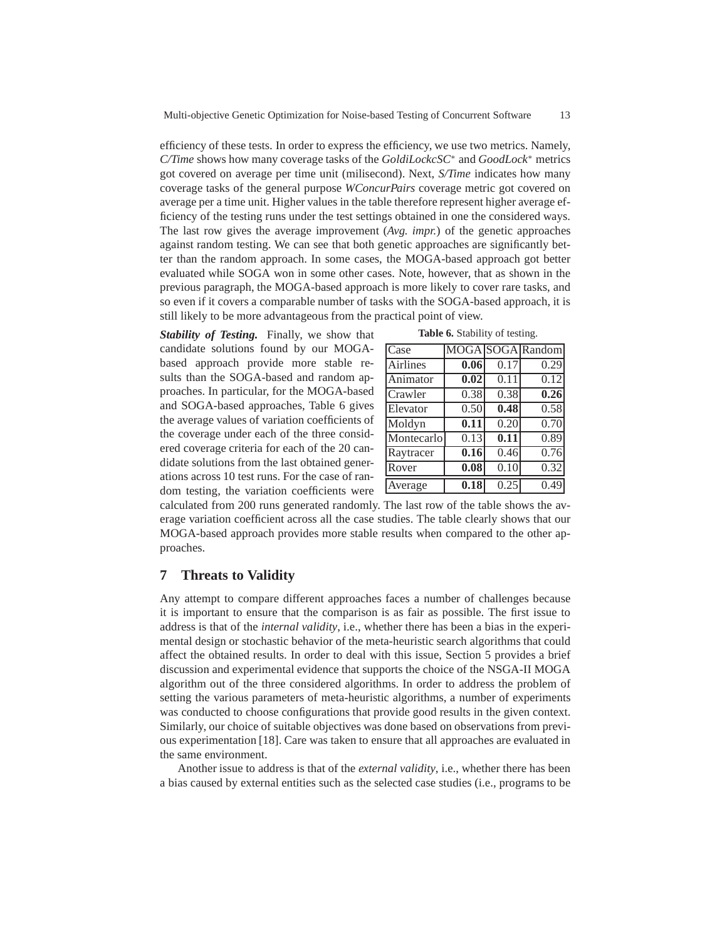efficiency of these tests. In order to express the efficiency, we use two metrics. Namely, *C/Time* shows how many coverage tasks of the *GoldiLockcSC*<sup>∗</sup> and *GoodLock*<sup>∗</sup> metrics got covered on average per time unit (milisecond). Next, *S/Time* indicates how many coverage tasks of the general purpose *WConcurPairs* coverage metric got covered on average per a time unit. Higher values in the table therefore represent higher average efficiency of the testing runs under the test settings obtained in one the considered ways. The last row gives the average improvement (*Avg. impr.*) of the genetic approaches against random testing. We can see that both genetic approaches are significantly better than the random approach. In some cases, the MOGA-based approach got better evaluated while SOGA won in some other cases. Note, however, that as shown in the previous paragraph, the MOGA-based approach is more likely to cover rare tasks, and so even if it covers a comparable number of tasks with the SOGA-based approach, it is still likely to be more advantageous from the practical point of view.

*Stability of Testing.* Finally, we show that candidate solutions found by our MOGAbased approach provide more stable results than the SOGA-based and random approaches. In particular, for the MOGA-based and SOGA-based approaches, Table 6 gives the average values of variation coefficients of the coverage under each of the three considered coverage criteria for each of the 20 candidate solutions from the last obtained generations across 10 test runs. For the case of random testing, the variation coefficients were

|  |  | <b>Table 6.</b> Stability of testing. |
|--|--|---------------------------------------|
|--|--|---------------------------------------|

| Case            |                   |                   | MOGA SOGA Random |
|-----------------|-------------------|-------------------|------------------|
| <b>Airlines</b> | 0.06              | 0.17              | 0.29             |
| Animator        | 0.02              | 0.11              | 0.12             |
| Crawler         | 0.38              | 0.38              | 0.26             |
| Elevator        | 0.50              | 0.48              | 0.58             |
| Moldyn          | 0.11              | 0.20              | 0.70             |
| Montecarlo      | 0.13              | $\overline{0.11}$ | 0.89             |
| Raytracer       | $\overline{0.16}$ | 0.46              | 0.76             |
| Rover           | $\overline{0.08}$ | 0.10              | 0.32             |
| Average         | 0.18              | 0.25              | 0.49             |

calculated from 200 runs generated randomly. The last row of the table shows the average variation coefficient across all the case studies. The table clearly shows that our MOGA-based approach provides more stable results when compared to the other approaches.

#### **7 Threats to Validity**

Any attempt to compare different approaches faces a number of challenges because it is important to ensure that the comparison is as fair as possible. The first issue to address is that of the *internal validity*, i.e., whether there has been a bias in the experimental design or stochastic behavior of the meta-heuristic search algorithms that could affect the obtained results. In order to deal with this issue, Section 5 provides a brief discussion and experimental evidence that supports the choice of the NSGA-II MOGA algorithm out of the three considered algorithms. In order to address the problem of setting the various parameters of meta-heuristic algorithms, a number of experiments was conducted to choose configurations that provide good results in the given context. Similarly, our choice of suitable objectives was done based on observations from previous experimentation [18]. Care was taken to ensure that all approaches are evaluated in the same environment.

Another issue to address is that of the *external validity*, i.e., whether there has been a bias caused by external entities such as the selected case studies (i.e., programs to be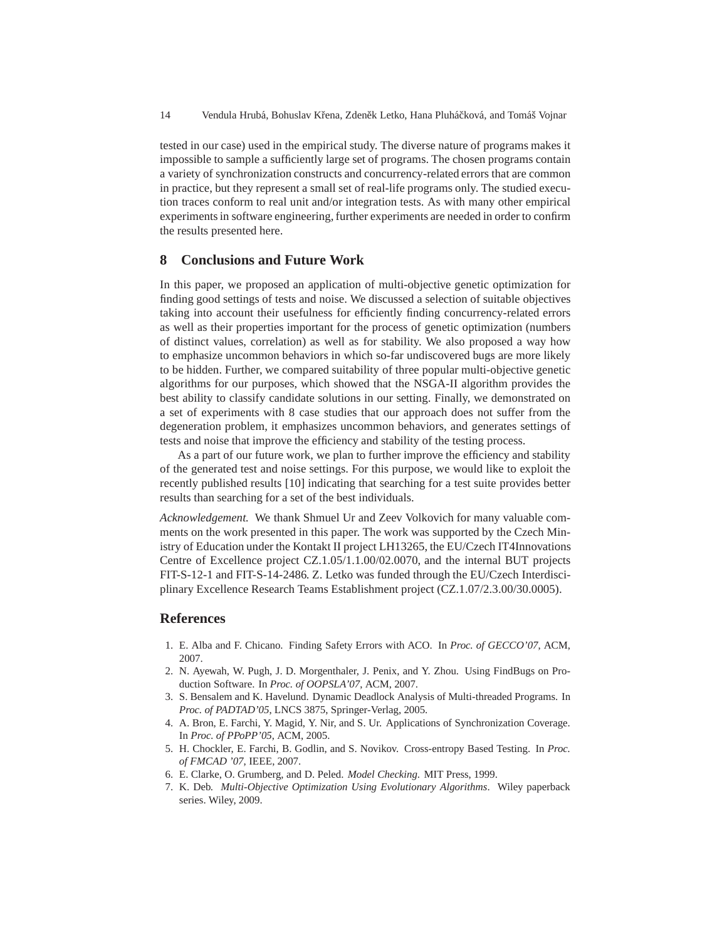tested in our case) used in the empirical study. The diverse nature of programs makes it impossible to sample a sufficiently large set of programs. The chosen programs contain a variety of synchronization constructs and concurrency-related errors that are common in practice, but they represent a small set of real-life programs only. The studied execution traces conform to real unit and/or integration tests. As with many other empirical experiments in software engineering, further experiments are needed in order to confirm the results presented here.

#### **8 Conclusions and Future Work**

In this paper, we proposed an application of multi-objective genetic optimization for finding good settings of tests and noise. We discussed a selection of suitable objectives taking into account their usefulness for efficiently finding concurrency-related errors as well as their properties important for the process of genetic optimization (numbers of distinct values, correlation) as well as for stability. We also proposed a way how to emphasize uncommon behaviors in which so-far undiscovered bugs are more likely to be hidden. Further, we compared suitability of three popular multi-objective genetic algorithms for our purposes, which showed that the NSGA-II algorithm provides the best ability to classify candidate solutions in our setting. Finally, we demonstrated on a set of experiments with 8 case studies that our approach does not suffer from the degeneration problem, it emphasizes uncommon behaviors, and generates settings of tests and noise that improve the efficiency and stability of the testing process.

As a part of our future work, we plan to further improve the efficiency and stability of the generated test and noise settings. For this purpose, we would like to exploit the recently published results [10] indicating that searching for a test suite provides better results than searching for a set of the best individuals.

*Acknowledgement.* We thank Shmuel Ur and Zeev Volkovich for many valuable comments on the work presented in this paper. The work was supported by the Czech Ministry of Education under the Kontakt II project LH13265, the EU/Czech IT4Innovations Centre of Excellence project CZ.1.05/1.1.00/02.0070, and the internal BUT projects FIT-S-12-1 and FIT-S-14-2486. Z. Letko was funded through the EU/Czech Interdisciplinary Excellence Research Teams Establishment project (CZ.1.07/2.3.00/30.0005).

#### **References**

- 1. E. Alba and F. Chicano. Finding Safety Errors with ACO. In *Proc. of GECCO'07*, ACM, 2007.
- 2. N. Ayewah, W. Pugh, J. D. Morgenthaler, J. Penix, and Y. Zhou. Using FindBugs on Production Software. In *Proc. of OOPSLA'07*, ACM, 2007.
- 3. S. Bensalem and K. Havelund. Dynamic Deadlock Analysis of Multi-threaded Programs. In *Proc. of PADTAD'05*, LNCS 3875, Springer-Verlag, 2005.
- 4. A. Bron, E. Farchi, Y. Magid, Y. Nir, and S. Ur. Applications of Synchronization Coverage. In *Proc. of PPoPP'05*, ACM, 2005.
- 5. H. Chockler, E. Farchi, B. Godlin, and S. Novikov. Cross-entropy Based Testing. In *Proc. of FMCAD '07*, IEEE, 2007.
- 6. E. Clarke, O. Grumberg, and D. Peled. *Model Checking*. MIT Press, 1999.
- 7. K. Deb. *Multi-Objective Optimization Using Evolutionary Algorithms*. Wiley paperback series. Wiley, 2009.